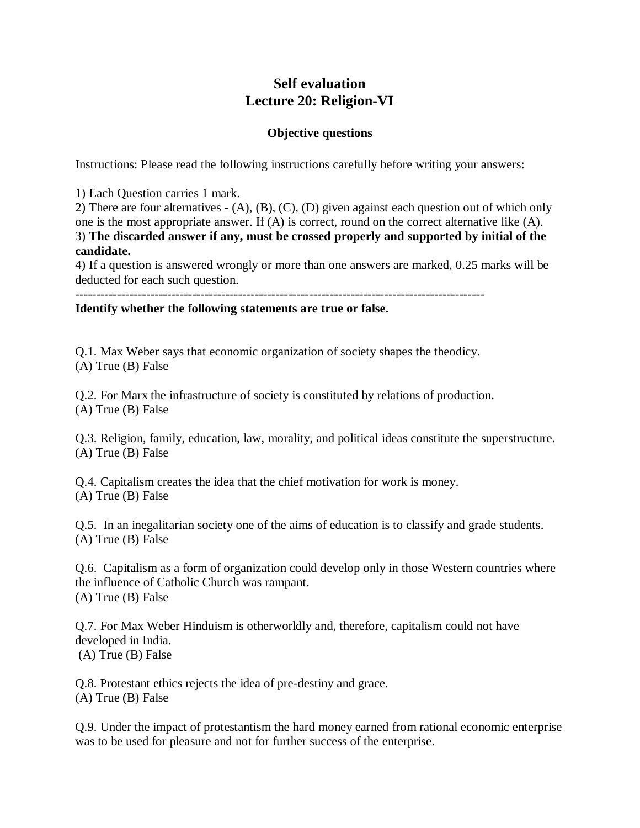## **Self evaluation Lecture 20: Religion-VI**

## **Objective questions**

Instructions: Please read the following instructions carefully before writing your answers:

1) Each Question carries 1 mark.

2) There are four alternatives - (A), (B), (C), (D) given against each question out of which only one is the most appropriate answer. If (A) is correct, round on the correct alternative like (A). 3) **The discarded answer if any, must be crossed properly and supported by initial of the candidate.**

4) If a question is answered wrongly or more than one answers are marked, 0.25 marks will be deducted for each such question.

--------------------------------------------------------------------------------------------------

**Identify whether the following statements are true or false.** 

Q.1. Max Weber says that economic organization of society shapes the theodicy. (A) True (B) False

Q.2. For Marx the infrastructure of society is constituted by relations of production. (A) True (B) False

Q.3. Religion, family, education, law, morality, and political ideas constitute the superstructure. (A) True (B) False

Q.4. Capitalism creates the idea that the chief motivation for work is money. (A) True (B) False

Q.5. In an inegalitarian society one of the aims of education is to classify and grade students. (A) True (B) False

Q.6. Capitalism as a form of organization could develop only in those Western countries where the influence of Catholic Church was rampant. (A) True (B) False

Q.7. For Max Weber Hinduism is otherworldly and, therefore, capitalism could not have developed in India. (A) True (B) False

Q.8. Protestant ethics rejects the idea of pre-destiny and grace. (A) True (B) False

Q.9. Under the impact of protestantism the hard money earned from rational economic enterprise was to be used for pleasure and not for further success of the enterprise.